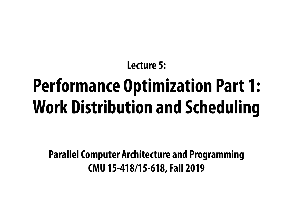### **Parallel Computer Architecture and Programming CMU 15-418/15-618, Fall 2019**

## **Lecture 5: Performance Optimization Part 1: Work Distribution and Scheduling**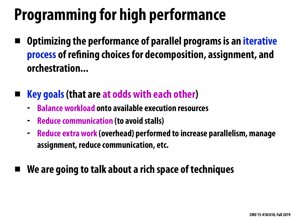## **Programming for high performance**

**Optimizing the performance of parallel programs is an iterative process of refning choices for decomposition, assignment, and orchestration...** 

### **Key goals (that are at odds with each other) - Balance workload onto available execution resources**

- 
- **- Reduce communication (to avoid stalls)**
- **- Reduce extra work (overhead) performed to increase parallelism, manage assignment, reduce communication, etc.**

### **▪ We are going to talk about a rich space of techniques**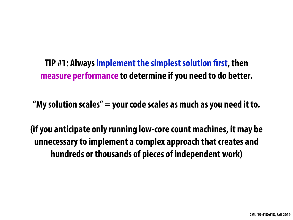### **TIP #1: Always implement the simplest solution frst, then measure performance to determine if you need to do better.**

**"My solution scales" = your code scales as much as you need it to.** 

**(if you anticipate only running low-core count machines, it may be unnecessary to implement a complex approach that creates and hundreds or thousands of pieces of independent work)**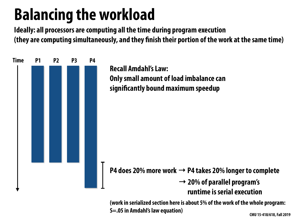## **Balancing the workload**

**Ideally: all processors are computing all the time during program execution (they are computing simultaneously, and they fnish their portion of the work at the same time)**



### **P4 does 20% more work → P4 takes 20% longer to complete**

### **→ 20% of parallel program's runtime is serial execution**

**(work in serialized section here is about 5% of the work of the whole program: S=.05 in Amdahl's law equation)**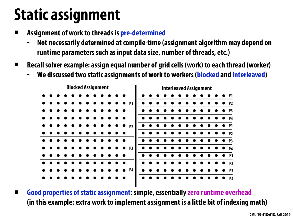## **Static assignment**

- **▪ Assignment of work to threads is pre-determined**
	- **- Not necessarily determined at compile-time (assignment algorithm may depend on runtime parameters such as input data size, number of threads, etc.)**
- **▪ Recall solver example: assign equal number of grid cells (work) to each thread (worker)** 
	- **- We discussed two static assignments of work to workers (blocked and interleaved)**

![](_page_4_Figure_5.jpeg)

**<u>Good properties of static assignment: simple, essentially zero runtime overhead</u> (in this example: extra work to implement assignment is a little bit of indexing math)**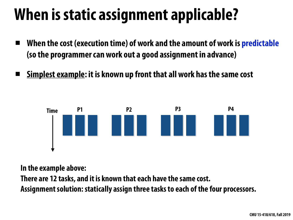- **▪ When the cost (execution time) of work and the amount of work is predictable (so the programmer can work out a good assignment in advance)**
- **<u>Simplest example</u>: it is known up front that all work has the same cost**

## **When is static assignment applicable?**

![](_page_5_Figure_3.jpeg)

**In the example above:** 

**There are 12 tasks, and it is known that each have the same cost. Assignment solution: statically assign three tasks to each of the four processors.**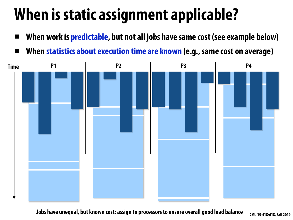## **When is static assignment applicable?**

- When work is **predictable**, but not all jobs have same cost (see example below)
- **▪ When statistics about execution time are known (e.g., same cost on average)**

![](_page_6_Figure_3.jpeg)

**Jobs have unequal, but known cost: assign to processors to ensure overall good load balance**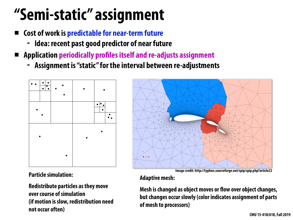## **"Semi-static" assignment**

- **▪ Cost of work is predictable for near-term future**
	- **- Idea: recent past good predictor of near future**
- **▪ Application periodically profles itself and re-adjusts assignment**
	- **- Assignment is "static" for the interval between re-adjustments**

![](_page_7_Figure_5.jpeg)

![](_page_7_Figure_6.jpeg)

**Adaptive mesh:** 

**Mesh is changed as object moves or fow over object changes, but changes occur slowly (color indicates assignment of parts of mesh to processors)**

**Particle simulation:** 

**Redistribute particles as they move over course of simulation (if motion is slow, redistribution need not occur often)**

**Image credit: http://typhon.sourceforge.net/spip/spip.php?article22**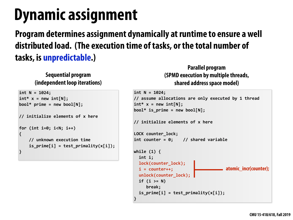## **Dynamic assignment**

### **Program determines assignment dynamically at runtime to ensure a well distributed load. (The execution time of tasks, or the total number of tasks, is unpredictable.)**

```
int N = 1024;int^* x = new int[N];\text{bool*} prime = new \text{bool}[N];
//	initialize	elements	of	x	here	
for (int i=0; i<N; i++)
{	
    // unknown execution time
    is\_prime[i] = test\_primality(x[i]);}
```

```
int N = 1024;int^* x = new int[N];bool* is_prime = new bool[N];
//	initialize	elements	of	x	here	
LOCK counter_lock;
int counter = 0; // shared variable
while (1) {
  int i;
  		lock(counter_lock);	
  i = counter++;unlock(counter lock);
  if (i \ge N)break;
  		is_prime[i]	=	test_primality(x[i]);	
}
```
![](_page_8_Figure_7.jpeg)

**Sequential program (independent loop iterations)**

### **Parallel program (SPMD execution by multiple threads, shared address space model)**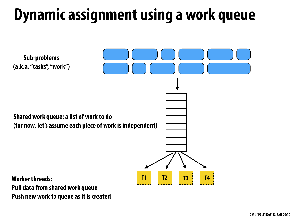## **Dynamic assignment using a work queue**

**Worker threads: Pull data from shared work queue Push new work to queue as it is created**

![](_page_9_Figure_4.jpeg)

![](_page_9_Figure_5.jpeg)

**Sub-problems (a.k.a. "tasks", "work")**

### **Shared work queue: a list of work to do (for now, let's assume each piece of work is independent)**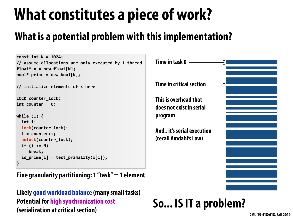## **What constitutes a piece of work? What is a potential problem with this implementation?**

```
const int N = 1024;
// assume allocations are only executed by 1 thread
float* x = new float[N];bool* prime = new bool[N];
//	initialize	elements	of	x	here	
LOCK counter_lock;
int counter = 0;
while (1) {
  		int	i;	
 		lock(counter_lock);	
  i = counter++;unlock(counter\_lock);if (i \ge N)break;
  is\_prime[i] = test\_primality(x[i]);}
                                                             Time in critical section 
                                                             This is overhead that 
                                                             does not exist in serial 
                                                             program 
                                                             And.. it's serial execution 
                                                             (recall Amdahl's Law) 
                                                             Time in task 0
```
**Fine granularity partitioning: 1 "task" = 1 element** 

**Likely good workload balance (many small tasks) Potential for high synchronization cost (serialization at critical section)**

![](_page_10_Figure_5.jpeg)

### **So... IS IT a problem?**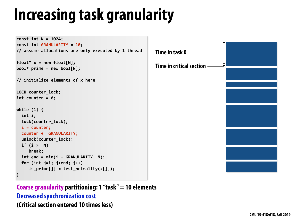## **Increasing task granularity**

```
const int N = 1024;
const int GRANULARITY = 10;
//	assume	allocations	are	only	executed	by	1	thread	
float* x = new float[N];bool* prime = new bool[N];
//	initialize	elements	of	x	here	
LOCK counter lock;
int counter = 0;
while (1) {
  int i;
  		lock(counter_lock);	
  i = counter;
  		counter	+=	GRANULARITY;
  		unlock(counter_lock);	
  if (i \ge N)break;
  int end = min(i + GRANULARITY, N);
  for (int j=i; j<end; j++)
     is\_prime[j] = test\_primality(x[j]);}
```
**Coarse granularity partitioning: 1 "task" = 10 elements Decreased synchronization cost (Critical section entered 10 times less)**

![](_page_11_Figure_5.jpeg)

**Time in critical section**

**Time in task 0**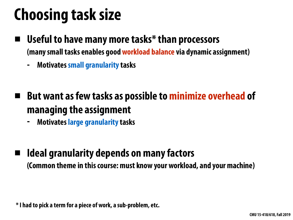## **Choosing task size**

- Useful to have many more tasks\* than processors **(many small tasks enables good workload balance via dynamic assignment)** 
	- **- Motivates small granularity tasks**
- **▪ But want as few tasks as possible to minimize overhead of managing the assignment** 
	- **- Motivates large granularity tasks**
- **Ideal granularity depends on many factors (Common theme in this course: must know your workload, and your machine)**

**\* I had to pick a term for a piece of work, a sub-problem, etc.**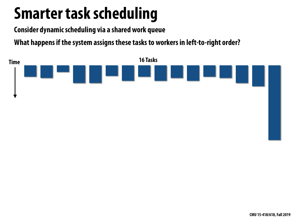## **Smarter task scheduling**

![](_page_13_Figure_3.jpeg)

![](_page_13_Figure_5.jpeg)

**Consider dynamic scheduling via a shared work queue** 

**What happens if the system assigns these tasks to workers in left-to-right order?**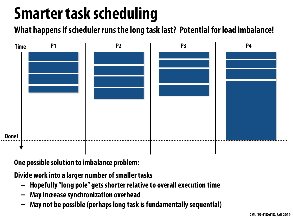## **Smarter task scheduling**

**What happens if scheduler runs the long task last? Potential for load imbalance!**

**One possible solution to imbalance problem:** 

**Divide work into a larger number of smaller tasks** 

![](_page_14_Picture_2.jpeg)

- **- Hopefully "long pole" gets shorter relative to overall execution time**
- **- May increase synchronization overhead**
- **- May not be possible (perhaps long task is fundamentally sequential)**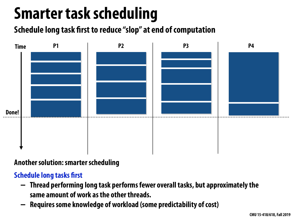## **Smarter task scheduling**

**Schedule long task frst to reduce "slop" at end of computation**

### **Another solution: smarter scheduling**

### **Schedule long tasks frst**

![](_page_15_Figure_2.jpeg)

- **- Thread performing long task performs fewer overall tasks, but approximately the same amount of work as the other threads.**
- **- Requires some knowledge of workload (some predictability of cost)**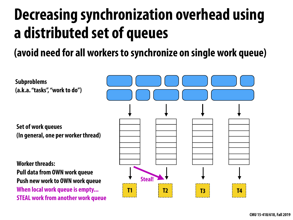## **Decreasing synchronization overhead using a distributed set of queues**

**(avoid need for all workers to synchronize on single work queue)**

**Worker threads: Pull data from OWN work queue Push new work to OWN work queue When local work queue is empty... STEAL work from another work queue**

![](_page_16_Picture_5.jpeg)

**Set of work queues (In general, one per worker thread)**

**Subproblems (a.k.a. "tasks", "work to do")**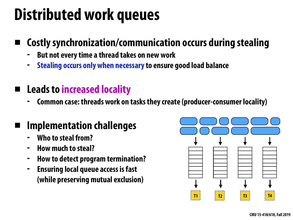## **Distributed work queues**

### **▪ Costly synchronization/communication occurs during stealing**

- **- But not every time a thread takes on new work**
- **- Stealing occurs only when necessary to ensure good load balance**
- **▪ Leads to increased locality**
	- **- Common case: threads work on tasks they create (producer-consumer locality)**
	- **Implementation challenges** 
		- **- Who to steal from?**
		- **- How much to steal?**
		- **- How to detect program termination?**
		- **- Ensuring local queue access is fast (while preserving mutual exclusion)**

![](_page_17_Picture_11.jpeg)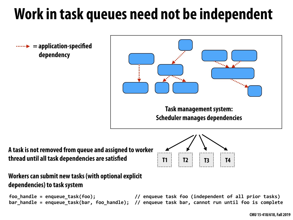### **Work in task queues need not be independent**

**:..... > = application-specified dependency**

![](_page_18_Figure_4.jpeg)

### **A task is not removed from queue and assigned to worker thread until all task dependencies are satisfed**

```
foo_handle	=	enqueue_task(foo);														//	enqueue	task	foo	(independent	of	all	prior	tasks)	
bar_handle = enqueue_task(bar, foo_handle); // enqueue task bar, cannot run until foo is complete
```
### **Workers can submit new tasks (with optional explicit dependencies) to task system**

![](_page_18_Figure_1.jpeg)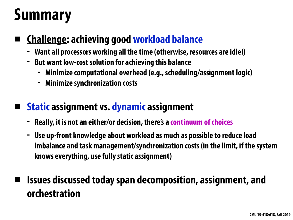## **Summary**

### **Challenge: achieving good workload balance**

- **- Want all processors working all the time (otherwise, resources are idle!)**
- **- But want low-cost solution for achieving this balance** 
	- **- Minimize computational overhead (e.g., scheduling/assignment logic)**
	- **- Minimize synchronization costs**

### **▪ Static assignment vs. dynamic assignment**

- **- Really, it is not an either/or decision, there's a continuum of choices**
- **- Use up-front knowledge about workload as much as possible to reduce load imbalance and task management/synchronization costs (in the limit, if the system knows everything, use fully static assignment)**
- **▪ Issues discussed today span decomposition, assignment, and orchestration**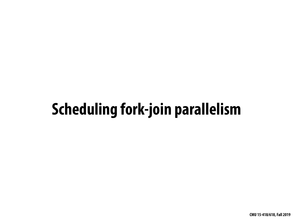## **Scheduling fork-join parallelism**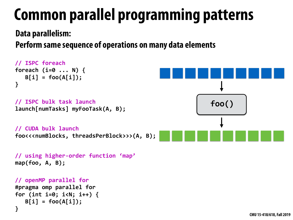## **Common parallel programming patterns**

### **Data parallelism:**

**Perform same sequence of operations on many data elements**

```
//	CUDA	bulk	launch	
foo<<<numBlocks, threadsPerBlock>>>(A, B);
```

```
//	openMP	parallel	for	
#pragma omp parallel for
for	(int	i=0;	i<N;	i++)	{	
   B[i] = foo(A[i]);}
```

```
//	ISPC	foreach	
foreach (i=0 ... N) {
   B[i] = foo(A[i]);}
```

```
//	ISPC	bulk	task	launch	
launch[numTasks]	myFooTask(A,	B);
```

```
//	using	higher-order	function	'map'	
map(foo,	A,	B);
```
![](_page_21_Figure_9.jpeg)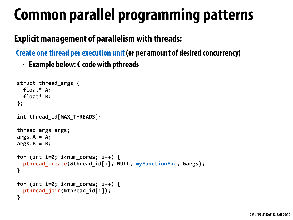## **Common parallel programming patterns**

### **Explicit management of parallelism with threads:**

**Create one thread per execution unit (or per amount of desired concurrency)** 

**- Example below: C code with pthreads**

```
struct thread_args {
  		float*	A;	
  		float*	B;	
};		
int thread_id[MAX_THREADS];
thread_args args;
args.A	=	A;	
args.B = B;for (int i=0; i<num_cores; i++) {
  pthread_create(&thread_id[i], NULL, myFunctionFoo, &args);
}	
for (int i=0; i<num_cores; i++) {
  		pthread_join(&thread_id[i]);	
}
```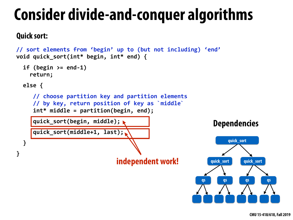## **Consider divide-and-conquer algorithms**

```
// sort elements from 'begin' up to (but not including) 'end'
void	quick_sort(int*	begin,	int*	end)	{	
  if (begin <math> \rightarrow = end - 1)return;
  else {
     // choose partition key and partition elements
        by key, return position of key as `middle`
     int* middle = partition(begin, end);
     guick_sort(begin, middle);
     guick_sort(middle+1, last);
		}	
}
                                independent work!
```
### **Quick sort:**

![](_page_23_Figure_6.jpeg)

### **Dependencies**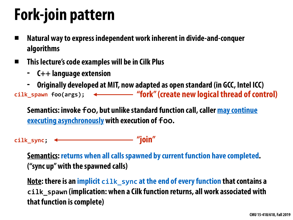## **Fork-join pattern**

**Semantics: invoke foo, but unlike standard function call, caller may continue executing asynchronously** with execution of **foo**.

- **▪ Natural way to express independent work inherent in divide-and-conquer algorithms**
- **▪ This lecture's code examples will be in Cilk Plus** 
	- **- C++ language extension**
	- **- Originally developed at MIT, now adapted as open standard (in GCC, Intel ICC)**

**Semantics: returns when all calls spawned by current function have completed. ("sync up" with the spawned calls)** 

**cilk\_spawn foo(args); "fork" (create new logical thread of control)**

**cilk\_sync; "join"**

**Note: there is an implicit cilk\_sync at the end of every function that contains a cilk\_spawn (implication: when a Cilk function returns, all work associated with that function is complete)**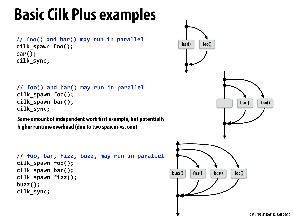### **Basic Cilk Plus examples**

```
// foo() and bar() may run in parallel
cilk_spawn foo();
bar();	
cilk_sync;
```

```
// foo() and bar() may run in parallel
cilk_spawn foo();
cilk_spawn	bar();	
cilk_sync;
```

```
// foo, bar, fizz, buzz, may run in parallel
cilk_spawn foo();
cilk_spawn	bar();	
cilk_spawn fizz();
buzz();	
cilk_sync;
```
![](_page_25_Figure_6.jpeg)

**Same amount of independent work frst example, but potentially higher runtime overhead (due to two spawns vs. one)**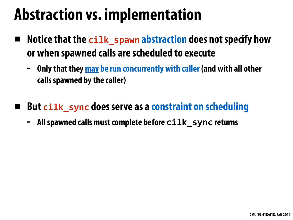### **Abstraction vs. implementation**

- **▪ Notice that the cilk\_spawn abstraction does not specify how or when spawned calls are scheduled to execute** 
	- **- Only that they may be run concurrently with caller (and with all other calls spawned by the caller)**
	- **But cilk sync does serve as a constraint on scheduling** 
		- **- All spawned calls must complete before cilk\_sync returns**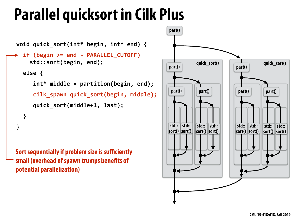## **Parallel quicksort in Cilk Plus**

```
void	quick_sort(int*	begin,	int*	end)	{	
  if (begin >= end - PARALLEL_CUTOFF)
    std::sort(begin, end);
  else {
     int* middle = partition(begin, end);
     cilk_spawn quick_sort(begin, middle);
     quick_sort(middle+1, last);
		}	
}
```
![](_page_27_Figure_3.jpeg)

**Sort sequentially if problem size is sufficiently small (overhead of spawn trumps benefts of potential parallelization)**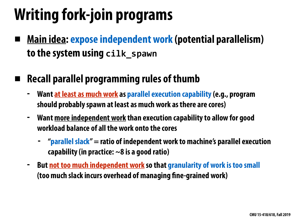## **Writing fork-join programs**

- **<u>Main idea: expose independent work (potential parallelism)</u> to the system using cilk\_spawn**
- **Recall parallel programming rules of thumb** 
	- **- Want at least as much work as parallel execution capability (e.g., program should probably spawn at least as much work as there are cores)**
	- **- Want more independent work than execution capability to allow for good workload balance of all the work onto the cores** 
		- **- "parallel slack" = ratio of independent work to machine's parallel execution capability (in practice: ~8 is a good ratio)**
	- **- But not too much independent work so that granularity of work is too small (too much slack incurs overhead of managing fne-grained work)**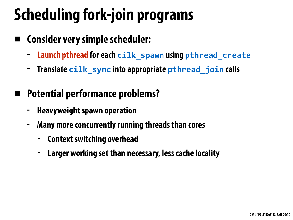## **Scheduling fork-join programs**

- **▪ Consider very simple scheduler:** 
	- **- Launch pthread for each cilk\_spawn using pthread\_create**
	- **- Translate cilk\_sync into appropriate pthread\_join calls**
	- **▪ Potential performance problems?**
		- **- Heavyweight spawn operation**
		- **- Many more concurrently running threads than cores** 
			- **- Context switching overhead**
			- **- Larger working set than necessary, less cache locality**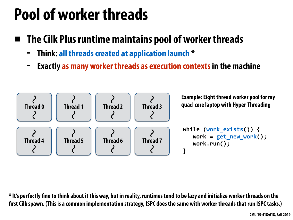## **Pool of worker threads**

- **▪ The Cilk Plus runtime maintains pool of worker threads** 
	- **- Think: all threads created at application launch \***
	- **- Exactly as many worker threads as execution contexts in the machine**

```
while (work_exists()) {
   work = get_new_words();
   			work.run();	
}
```
**\* It's perfectly fne to think about it this way, but in reality, runtimes tend to be lazy and initialize worker threads on the frst Cilk spawn. (This is a common implementation strategy, ISPC does the same with worker threads that run ISPC tasks.)**

![](_page_30_Figure_4.jpeg)

**Example: Eight thread worker pool for my quad-core laptop with Hyper-Threading**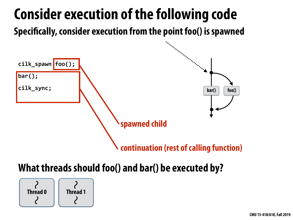![](_page_31_Figure_0.jpeg)

### **What threads should foo() and bar() be executed by?**

![](_page_31_Picture_2.jpeg)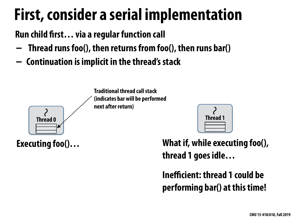## **First, consider a serial implementation**

![](_page_32_Figure_4.jpeg)

**Executing foo()…**

**Traditional thread call stack (indicates bar will be performed next after return)**

![](_page_32_Picture_10.jpeg)

### **What if, while executing foo(), thread 1 goes idle…**

### **Inefficient: thread 1 could be performing bar() at this time!**

**Run child frst… via a regular function call** 

- **- Thread runs foo(), then returns from foo(), then runs bar()**
- **- Continuation is implicit in the thread's stack**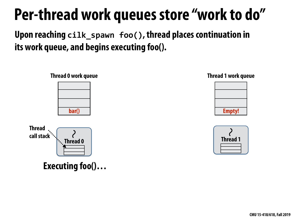## **Per-thread work queues store "work to do"**

![](_page_33_Picture_4.jpeg)

**Thread 0 work queue Thread 1 work queue**

![](_page_33_Figure_3.jpeg)

![](_page_33_Picture_8.jpeg)

![](_page_33_Picture_9.jpeg)

**Executing foo()…**

**Upon reaching cilk\_spawn foo(), thread places continuation in its work queue, and begins executing foo().**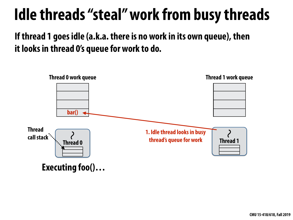![](_page_34_Figure_2.jpeg)

![](_page_34_Picture_4.jpeg)

![](_page_34_Picture_6.jpeg)

### **Idle threads "steal" work from busy threads If thread 1 goes idle (a.k.a. there is no work in its own queue), then**

## **it looks in thread 0's queue for work to do.**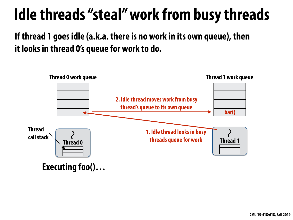## **Idle threads "steal" work from busy threads**

![](_page_35_Figure_2.jpeg)

### **If thread 1 goes idle (a.k.a. there is no work in its own queue), then it looks in thread 0's queue for work to do.**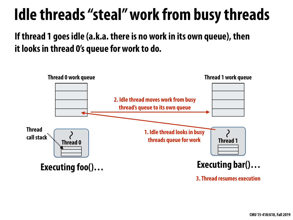## **Idle threads "steal" work from busy threads**

![](_page_36_Figure_2.jpeg)

**3. Thread resumes execution**

### **If thread 1 goes idle (a.k.a. there is no work in its own queue), then it looks in thread 0's queue for work to do.**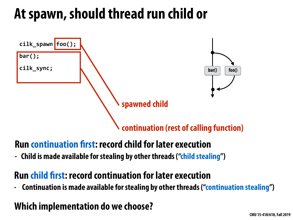### **At spawn, should thread run child or**

![](_page_37_Figure_1.jpeg)

# **continuation (rest of calling function)**

![](_page_37_Picture_7.jpeg)

### **Run child frst: record continuation for later execution**

**- Continuation is made available for stealing by other threads ("continuation stealing")**

### **Run continuation frst: record child for later execution**

**- Child is made available for stealing by other threads ("child stealing")**

### **Which implementation do we choose?**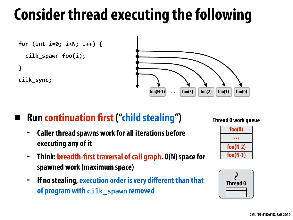## **Consider thread executing the following**

```
for	(int	i=0;	i<N;	i++)	{	
  cilk_spawn foo(i);
}	
cilk_sync;
```
![](_page_38_Figure_2.jpeg)

### **▪ Run continuation frst ("child stealing")**

- **- Caller thread spawns work for all iterations before executing any of it**
- **- Think: breadth-frst traversal of call graph. O(N) space for spawned work (maximum space)**
- **- If no stealing, execution order is very different than that of program with cilk\_spawn removed**

**Thread 0 work queue**

![](_page_38_Figure_8.jpeg)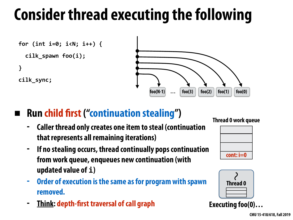## **Consider thread executing the following**

```
for	(int	i=0;	i<N;	i++)	{	
  		cilk_spawn	foo(i);	
}	
cilk_sync;
```
![](_page_39_Figure_2.jpeg)

### **▪ Run child frst ("continuation stealing")**

- **- Caller thread only creates one item to steal (continuation that represents all remaining iterations)**
- **- If no stealing occurs, thread continually pops continuation from work queue, enqueues new continuation (with updated value of i)**
- **- Order of execution is the same as for program with spawn removed.**
- **- Think: depth-frst traversal of call graph**

**Thread 0 work queue**

![](_page_39_Figure_9.jpeg)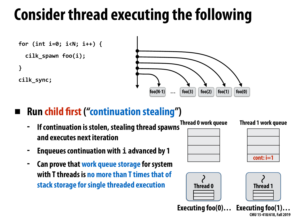## **Consider thread executing the following**

```
for	(int	i=0;	i<N;	i++)	{	
  		cilk_spawn	foo(i);	
}	
cilk_sync;
```
- **- If continuation is stolen, stealing thread spawns and executes next iteration**
- **- Enqueues continuation with i advanced by 1**
- **- Can prove that work queue storage for system with T threads is no more than T times that of stack storage for single threaded execution Thread 0**

![](_page_40_Figure_2.jpeg)

### **▪ Run child frst ("continuation stealing")**

![](_page_40_Figure_8.jpeg)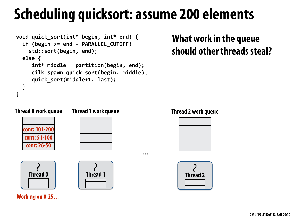### **Scheduling quicksort: assume 200 elements**

![](_page_41_Figure_9.jpeg)

**Thread 2 work queue**

![](_page_41_Figure_8.jpeg)

![](_page_41_Figure_2.jpeg)

```
void	quick_sort(int*	begin,	int*	end)	{	
  if (begin >= end - PARALLEL_CUTOFF)
    std::sort(begin, end);
  else {
     int* middle = partition(begin, end);
     cilk_spawn quick_sort(begin, middle);
     quick_sort(middle+1, last);
  		}	
}
```
### **What work in the queue should other threads steal?**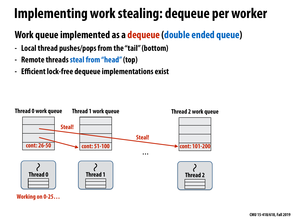### **Implementing work stealing: dequeue per worker**

![](_page_42_Figure_5.jpeg)

**Working on 0-25…** 

### **Work queue implemented as a dequeue (double ended queue)**

- **- Local thread pushes/pops from the "tail" (bottom)**
- **- Remote threads steal from "head" (top)**
- **- Efficient lock-free dequeue implementations exist**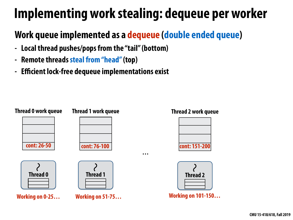### **Implementing work stealing: dequeue per worker**

![](_page_43_Picture_8.jpeg)

**Thread 2 work queue**

![](_page_43_Figure_5.jpeg)

### **Work queue implemented as a dequeue (double ended queue)**

- **- Local thread pushes/pops from the "tail" (bottom)**
- **- Remote threads steal from "head" (top)**
- **- Efficient lock-free dequeue implementations exist**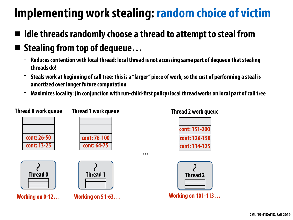### **Implementing work stealing: random choice of victim**

- **Idle threads randomly choose a thread to attempt to steal from ▪ Stealing from top of dequeue…** 
	- **- Reduces contention with local thread: local thread is not accessing same part of dequeue that stealing threads do!**
	- **- Steals work at beginning of call tree: this is a "larger" piece of work, so the cost of performing a steal is amortized over longer future computation**
	- **- Maximizes locality: (in conjunction with run-child-frst policy) local thread works on local part of call tree**

![](_page_44_Figure_5.jpeg)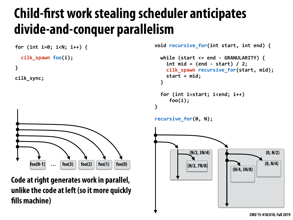### **Child-frst work stealing scheduler anticipates divide-and-conquer parallelism**

![](_page_45_Figure_1.jpeg)

**flls machine)**